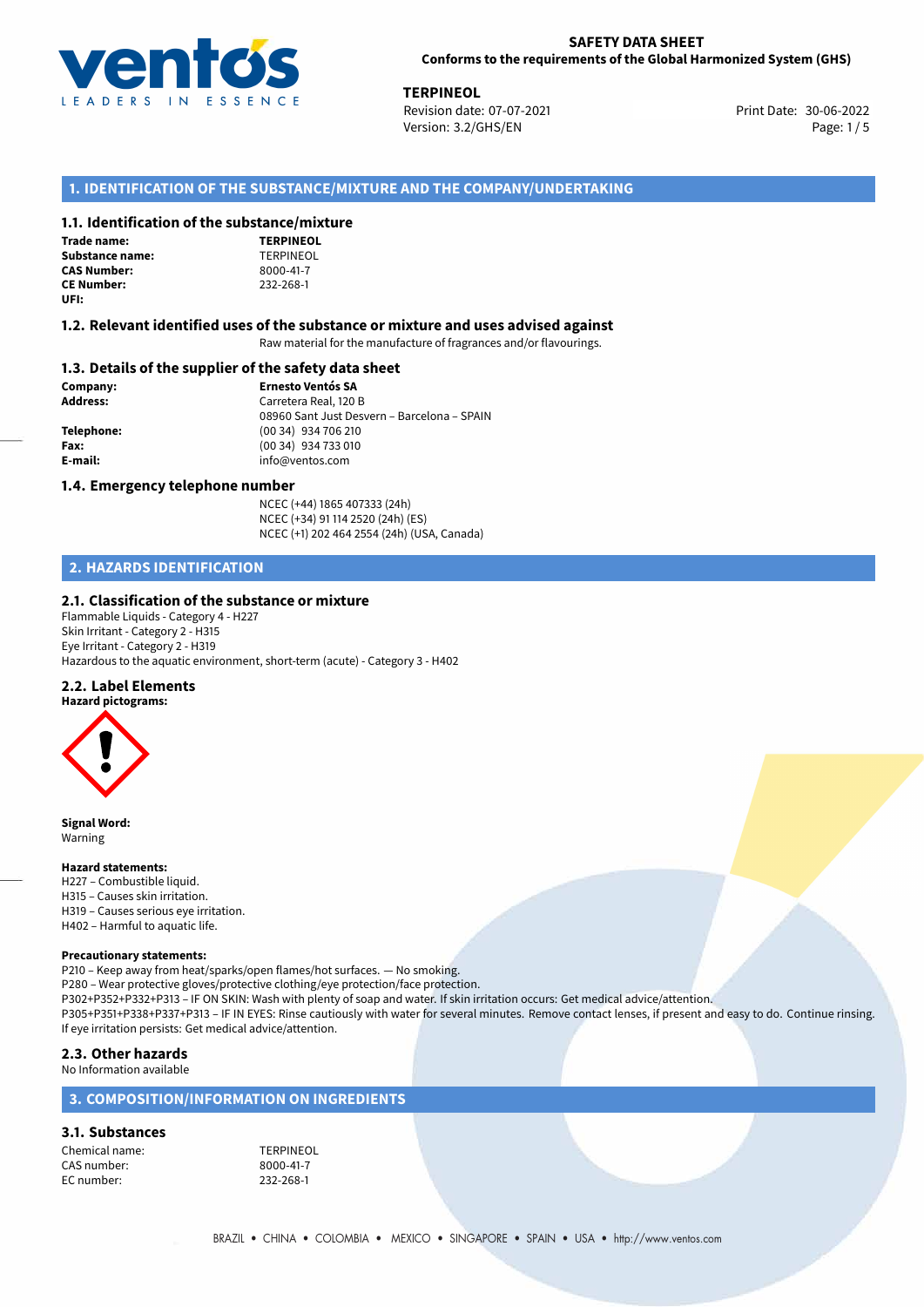

**TERPINEOL**<br>30-06-2022 **Revision date: 07-07-2021** Print Date: 30-06-2022 Version: 3.2/GHS/EN Page: 1/5

## **1. IDENTIFICATION OF THE SUBSTANCE/MIXTURE AND THE COMPANY/UNDERTAKING**

#### **1.1. Identification of the substance/mixture**

| <b>Trade name:</b>     |
|------------------------|
| <b>Substance name:</b> |
| <b>CAS Number:</b>     |
| <b>CE Number:</b>      |
| UFI:                   |

**TERPINEOL Substance name:** TERPINEOL **CAS Number:** 8000-41-7 **CE Number:** 232-268-1

#### **1.2. Relevant identified uses of the substance or mixture and uses advised against**

Raw material for the manufacture of fragrances and/or flavourings.

#### **1.3. Details of the supplier of the safety data sheet**

**Company: Ernesto Ventós SA Address:** Carretera Real, 120 B 08960 Sant Just Desvern – Barcelona – SPAIN **Telephone:** (00 34) 934 706 210 **Fax:** (00 34) 934 733 010 **E-mail:** info@ventos.com

#### **1.4. Emergency telephone number**

NCEC (+44) 1865 407333 (24h) NCEC (+34) 91 114 2520 (24h) (ES) NCEC (+1) 202 464 2554 (24h) (USA, Canada)

## **2. HAZARDS IDENTIFICATION**

### **2.1. Classification of the substance or mixture**

Flammable Liquids - Category 4 - H227 Skin Irritant - Category 2 - H315 Eye Irritant - Category 2 - H319 Hazardous to the aquatic environment, short-term (acute) - Category 3 - H402

#### **2.2. Label Elements**



**Signal Word:** Warning

#### **Hazard statements:**

H227 – Combustible liquid. H315 – Causes skin irritation. H319 – Causes serious eye irritation. H402 – Harmful to aquatic life.

#### **Precautionary statements:**

P210 – Keep away from heat/sparks/open flames/hot surfaces. — No smoking. P280 – Wear protective gloves/protective clothing/eye protection/face protection. P302+P352+P332+P313 – IF ON SKIN: Wash with plenty of soap and water. If skin irritation occurs: Get medical advice/attention. P305+P351+P338+P337+P313 – IF IN EYES: Rinse cautiously with water for several minutes. Remove contact lenses, if present and easy to do. Continue rinsing. If eye irritation persists: Get medical advice/attention.

#### **2.3. Other hazards**

No Information available

### **3. COMPOSITION/INFORMATION ON INGREDIENTS**

## **3.1. Substances**

Chemical name: TERPINEOL CAS number: 8000-41-7<br>EC number: 232-268-1 EC number: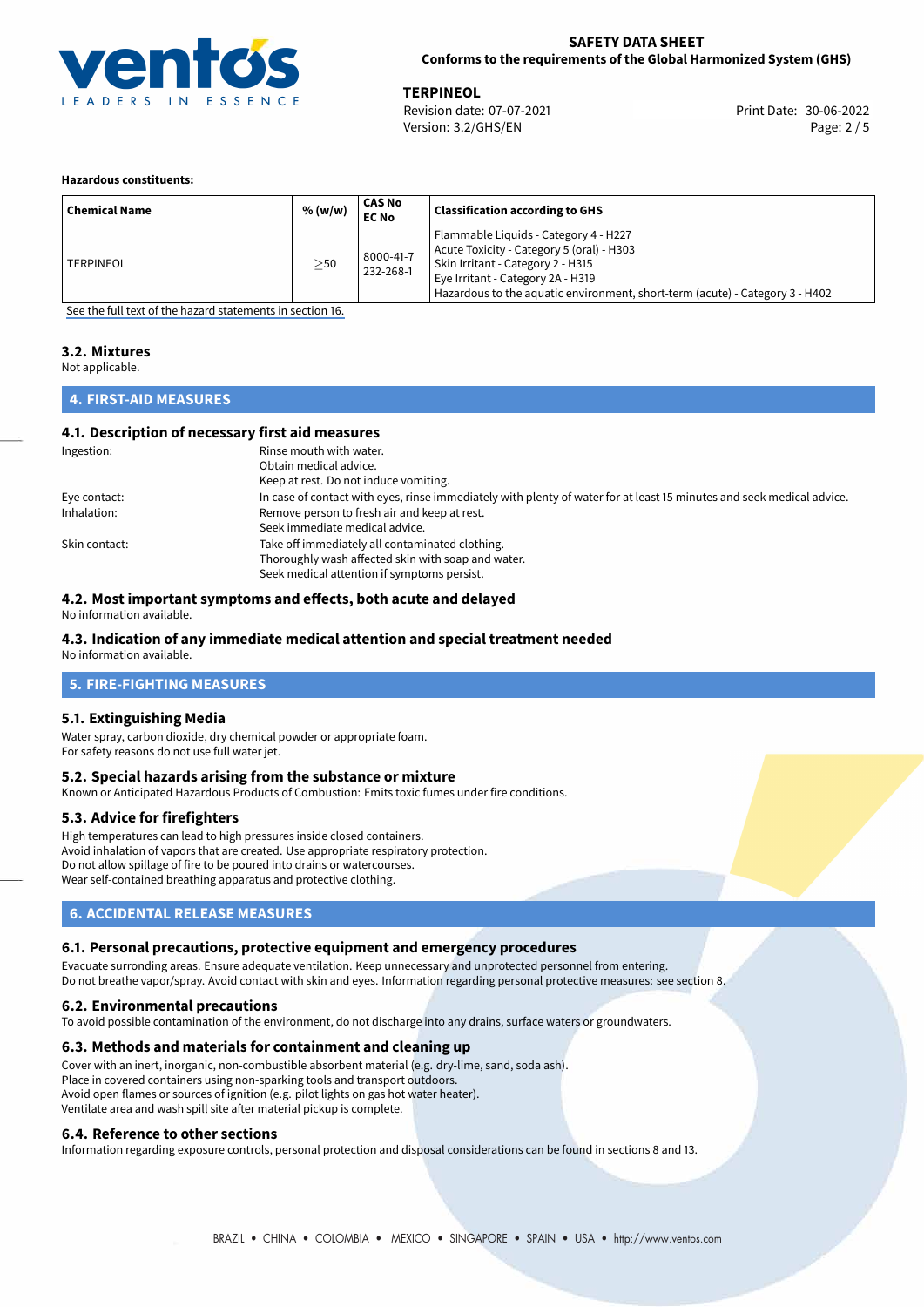

**TERPINEOL**<br>
Revision date: 07-07-2021 **Access 2006-2014** Print Date: 30-06-2022 Version: 3.2/GHS/EN Page: 2 / 5

#### **Hazardous constituents:**

| <b>Chemical Name</b> | % (w/w)   | CAS No<br><b>EC No</b> | <b>Classification according to GHS</b>                                                                                                                                                                                                       |
|----------------------|-----------|------------------------|----------------------------------------------------------------------------------------------------------------------------------------------------------------------------------------------------------------------------------------------|
| <b>TERPINEOL</b>     | $\geq$ 50 | 8000-41-7<br>232-268-1 | Flammable Liquids - Category 4 - H227<br>Acute Toxicity - Category 5 (oral) - H303<br>Skin Irritant - Category 2 - H315<br>Eye Irritant - Category 2A - H319<br>Hazardous to the aquatic environment, short-term (acute) - Category 3 - H402 |

[See the full text of the hazard statements in section 16.](#page-4-0)

#### **3.2. Mixtures**

Not applicable.

## **4. FIRST-AID MEASURES**

### **4.1. Description of necessary first aid measures**

| Ingestion:    | Rinse mouth with water.                                                                                               |
|---------------|-----------------------------------------------------------------------------------------------------------------------|
|               | Obtain medical advice.                                                                                                |
|               | Keep at rest. Do not induce vomiting.                                                                                 |
| Eye contact:  | In case of contact with eyes, rinse immediately with plenty of water for at least 15 minutes and seek medical advice. |
| Inhalation:   | Remove person to fresh air and keep at rest.                                                                          |
|               | Seek immediate medical advice.                                                                                        |
| Skin contact: | Take off immediately all contaminated clothing.                                                                       |
|               | Thoroughly wash affected skin with soap and water.                                                                    |
|               | Seek medical attention if symptoms persist.                                                                           |

### **4.2. Most important symptoms and effects, both acute and delayed**

No information available.

## **4.3. Indication of any immediate medical attention and special treatment needed**

No information available.

## **5. FIRE-FIGHTING MEASURES**

### **5.1. Extinguishing Media**

Water spray, carbon dioxide, dry chemical powder or appropriate foam. For safety reasons do not use full water jet.

### **5.2. Special hazards arising from the substance or mixture**

Known or Anticipated Hazardous Products of Combustion: Emits toxic fumes under fire conditions.

### **5.3. Advice for firefighters**

High temperatures can lead to high pressures inside closed containers. Avoid inhalation of vapors that are created. Use appropriate respiratory protection. Do not allow spillage of fire to be poured into drains or watercourses. Wear self-contained breathing apparatus and protective clothing.

### **6. ACCIDENTAL RELEASE MEASURES**

### **6.1. Personal precautions, protective equipment and emergency procedures**

Evacuate surronding areas. Ensure adequate ventilation. Keep unnecessary and unprotected personnel from entering. Do not breathe vapor/spray. Avoid contact with skin and eyes. Information regarding personal protective measures: see section 8.

### **6.2. Environmental precautions**

To avoid possible contamination of the environment, do not discharge into any drains, surface waters or groundwaters.

### **6.3. Methods and materials for containment and cleaning up**

Cover with an inert, inorganic, non-combustible absorbent material (e.g. dry-lime, sand, soda ash). Place in covered containers using non-sparking tools and transport outdoors. Avoid open flames or sources of ignition (e.g. pilot lights on gas hot water heater). Ventilate area and wash spill site after material pickup is complete.

### **6.4. Reference to other sections**

Information regarding exposure controls, personal protection and disposal considerations can be found in sections 8 and 13.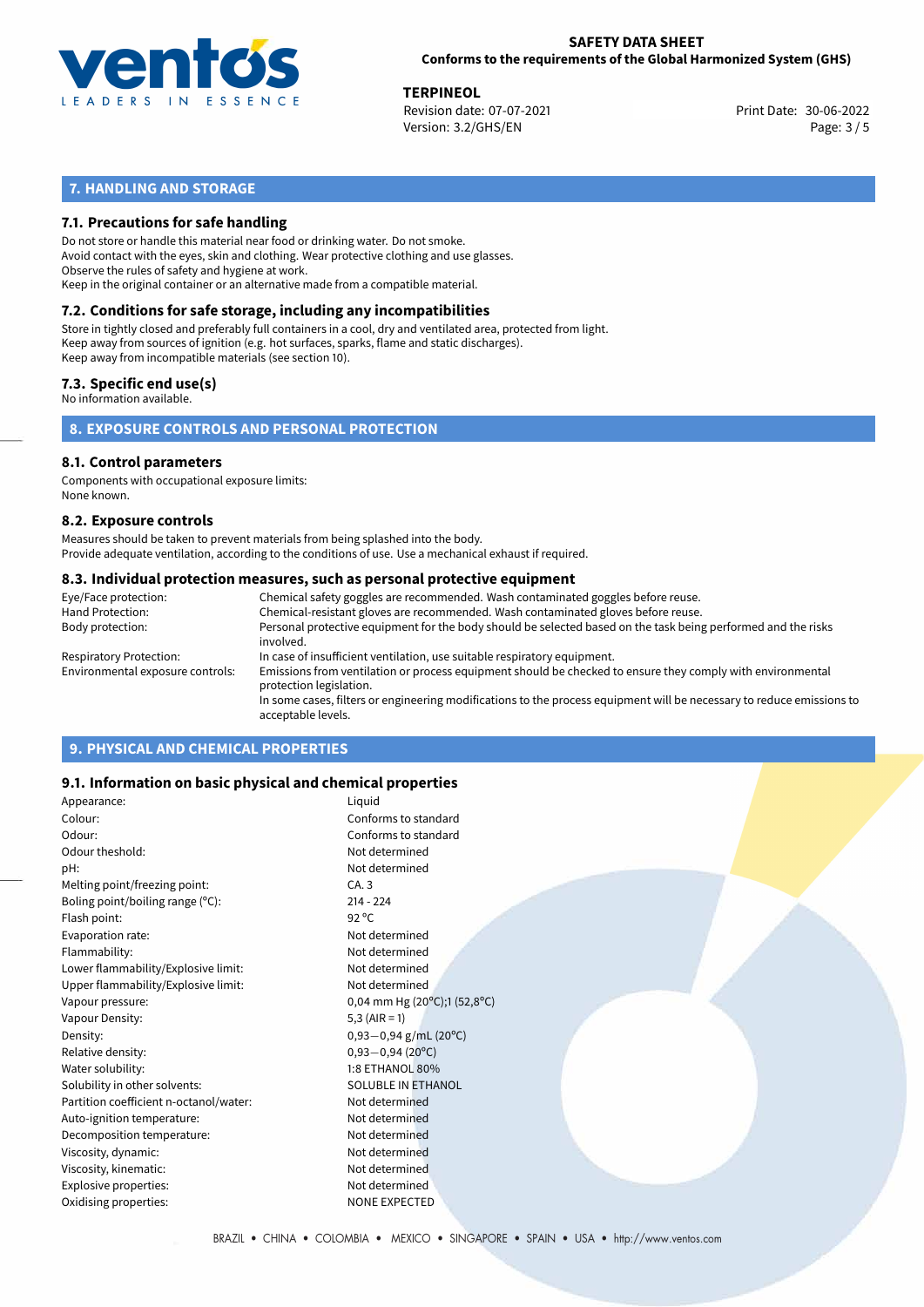

**TERPINEOL**<br>
Revision date: 07-07-2021 **Access 2006-2014** Print Date: 30-06-2022 Version: 3.2/GHS/EN Page: 3 / 5

## **7. HANDLING AND STORAGE**

### **7.1. Precautions for safe handling**

Do not store or handle this material near food or drinking water. Do not smoke. Avoid contact with the eyes, skin and clothing. Wear protective clothing and use glasses. Observe the rules of safety and hygiene at work. Keep in the original container or an alternative made from a compatible material.

# **7.2. Conditions for safe storage, including any incompatibilities**

Store in tightly closed and preferably full containers in a cool, dry and ventilated area, protected from light. Keep away from sources of ignition (e.g. hot surfaces, sparks, flame and static discharges). Keep away from incompatible materials (see section 10).

#### **7.3. Specific end use(s)**

No information available.

**8. EXPOSURE CONTROLS AND PERSONAL PROTECTION**

## **8.1. Control parameters**

Components with occupational exposure limits: None known.

#### **8.2. Exposure controls**

Measures should be taken to prevent materials from being splashed into the body. Provide adequate ventilation, according to the conditions of use. Use a mechanical exhaust if required.

#### **8.3. Individual protection measures, such as personal protective equipment**

| Eye/Face protection:             | Chemical safety goggles are recommended. Wash contaminated goggles before reuse.                                                            |
|----------------------------------|---------------------------------------------------------------------------------------------------------------------------------------------|
| Hand Protection:                 | Chemical-resistant gloves are recommended. Wash contaminated gloves before reuse.                                                           |
| Body protection:                 | Personal protective equipment for the body should be selected based on the task being performed and the risks<br>involved.                  |
| Respiratory Protection:          | In case of insufficient ventilation, use suitable respiratory equipment.                                                                    |
| Environmental exposure controls: | Emissions from ventilation or process equipment should be checked to ensure they comply with environmental<br>protection legislation.       |
|                                  | In some cases, filters or engineering modifications to the process equipment will be necessary to reduce emissions to<br>acceptable levels. |
|                                  |                                                                                                                                             |

## **9. PHYSICAL AND CHEMICAL PROPERTIES**

### **9.1. Information on basic physical and chemical properties**

| Appearance:                            | Liquid                                             |
|----------------------------------------|----------------------------------------------------|
| Colour:                                | Conforms to standard                               |
| Odour:                                 | Conforms to standard                               |
| Odour theshold:                        | Not determined                                     |
| pH:                                    | Not determined                                     |
| Melting point/freezing point:          | CA.3                                               |
| Boling point/boiling range (°C):       | $214 - 224$                                        |
| Flash point:                           | 92 °C                                              |
| Evaporation rate:                      | Not determined                                     |
| Flammability:                          | Not determined                                     |
| Lower flammability/Explosive limit:    | Not determined                                     |
| Upper flammability/Explosive limit:    | Not determined                                     |
| Vapour pressure:                       | 0,04 mm Hg (20 $^{\circ}$ C);1 (52,8 $^{\circ}$ C) |
| Vapour Density:                        | 5,3 $(AIR = 1)$                                    |
| Density:                               | $0,93-0,94$ g/mL (20°C)                            |
| Relative density:                      | $0,93 - 0,94(20^{\circ}C)$                         |
| Water solubility:                      | 1:8 ETHANOL 80%                                    |
| Solubility in other solvents:          | SOLUBLE IN ETHANOL                                 |
| Partition coefficient n-octanol/water: | Not determined                                     |
| Auto-ignition temperature:             | Not determined                                     |
| Decomposition temperature:             | Not determined                                     |
| Viscosity, dynamic:                    | Not determined                                     |
| Viscosity, kinematic:                  | Not determined                                     |
| Explosive properties:                  | Not determined                                     |
| Oxidising properties:                  | <b>NONE EXPECTED</b>                               |
|                                        |                                                    |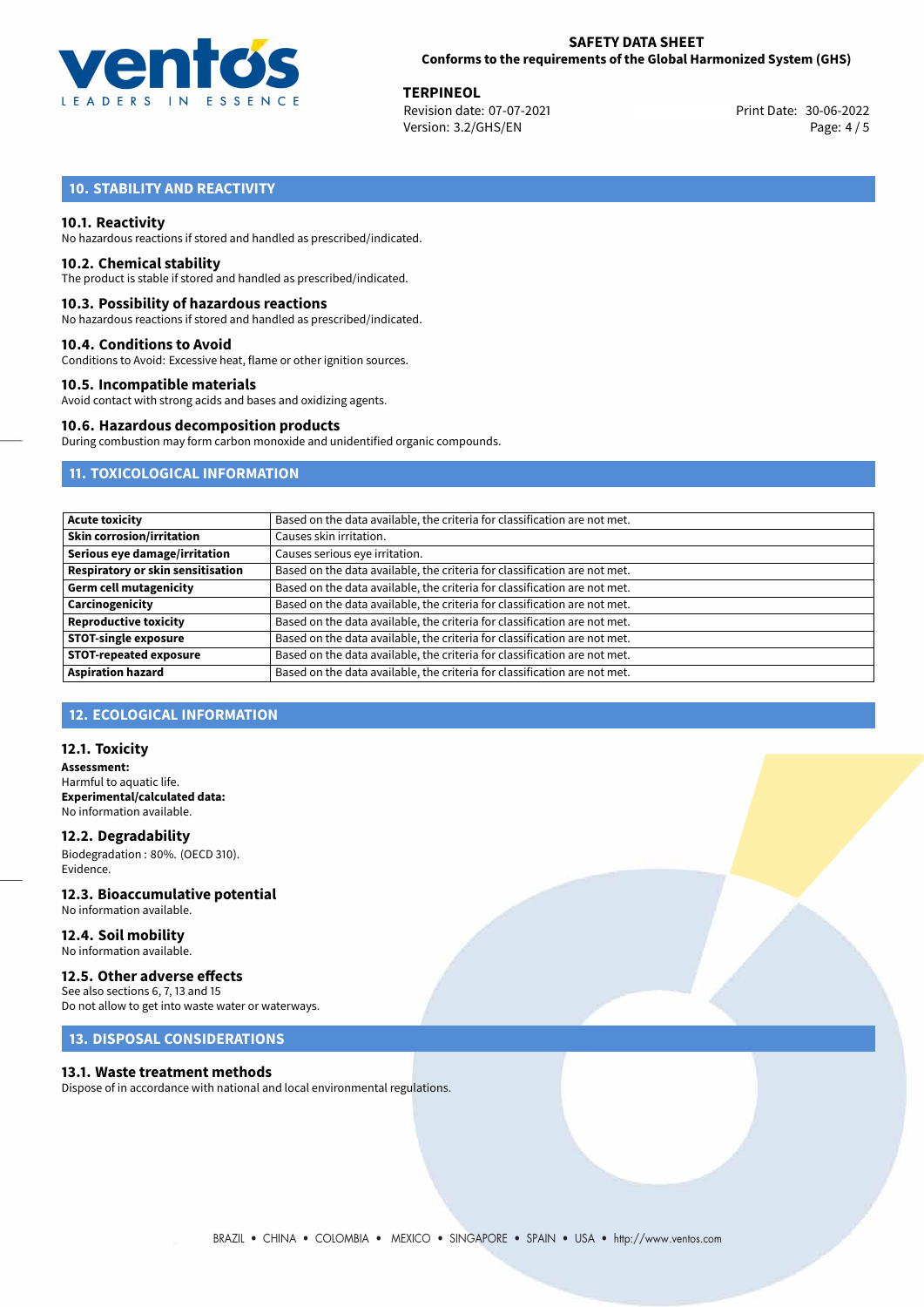

**TERPINEOL**<br>
Revision date: 07-07-2021 **Access 2006-2014** Print Date: 30-06-2022 Version: 3.2/GHS/EN Page: 4 / 5

# **10. STABILITY AND REACTIVITY**

#### **10.1. Reactivity**

No hazardous reactions if stored and handled as prescribed/indicated.

#### **10.2. Chemical stability**

The product is stable if stored and handled as prescribed/indicated.

#### **10.3. Possibility of hazardous reactions**

No hazardous reactions if stored and handled as prescribed/indicated.

#### **10.4. Conditions to Avoid**

Conditions to Avoid: Excessive heat, flame or other ignition sources.

#### **10.5. Incompatible materials**

Avoid contact with strong acids and bases and oxidizing agents.

#### **10.6. Hazardous decomposition products**

During combustion may form carbon monoxide and unidentified organic compounds.

## **11. TOXICOLOGICAL INFORMATION**

| Based on the data available, the criteria for classification are not met. |
|---------------------------------------------------------------------------|
| Causes skin irritation.                                                   |
| Causes serious eye irritation.                                            |
| Based on the data available, the criteria for classification are not met. |
| Based on the data available, the criteria for classification are not met. |
| Based on the data available, the criteria for classification are not met. |
| Based on the data available, the criteria for classification are not met. |
| Based on the data available, the criteria for classification are not met. |
| Based on the data available, the criteria for classification are not met. |
| Based on the data available, the criteria for classification are not met. |
|                                                                           |

## **12. ECOLOGICAL INFORMATION**

#### **12.1. Toxicity**

**Assessment:** Harmful to aquatic life. **Experimental/calculated data:** No information available.

**12.2. Degradability** Biodegradation : 80%. (OECD 310). Evidence.

# **12.3. Bioaccumulative potential**

No information available.

#### **12.4. Soil mobility** No information available.

## **12.5. Other adverse effects**

See also sections 6, 7, 13 and 15 Do not allow to get into waste water or waterways.

## **13. DISPOSAL CONSIDERATIONS**

### **13.1. Waste treatment methods**

Dispose of in accordance with national and local environmental regulations.